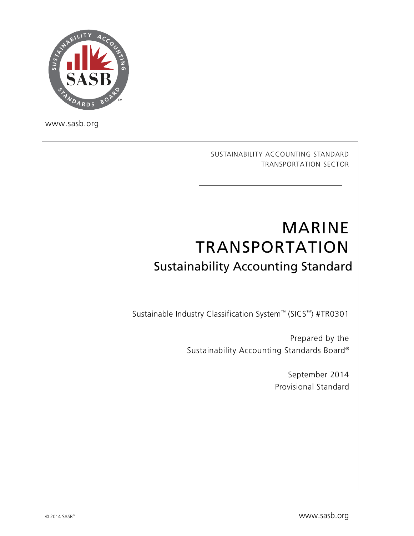

[www.sasb.org](http://www.sasb.org/)

SUSTAINABILITY ACCOUNTING STANDARD TRANSPORTATION SECTOR

# MARINE TRANSPORTATION Sustainability Accounting Standard

Sustainable Industry Classification System™ (SICS™) #TR0301

Prepared by the Sustainability Accounting Standards Board®

> September 2014 Provisional Standard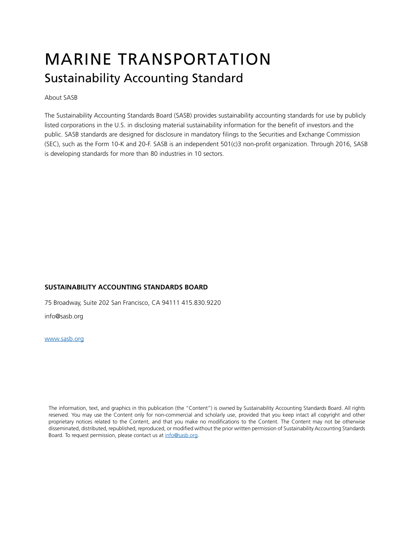# MARINE TRANSPORTATION Sustainability Accounting Standard

About SASB

The Sustainability Accounting Standards Board (SASB) provides sustainability accounting standards for use by publicly listed corporations in the U.S. in disclosing material sustainability information for the benefit of investors and the public. SASB standards are designed for disclosure in mandatory filings to the Securities and Exchange Commission (SEC), such as the Form 10-K and 20-F. SASB is an independent 501(c)3 non-profit organization. Through 2016, SASB is developing standards for more than 80 industries in 10 sectors.

#### **SUSTAINABILITY ACCOUNTING STANDARDS BOARD**

75 Broadway, Suite 202 San Francisco, CA 94111 415.830.9220

[info@sasb.org](mailto:info@sasb.org)

[www.sasb.org](http://www.sasb.org/)

The information, text, and graphics in this publication (the "Content") is owned by Sustainability Accounting Standards Board. All rights reserved. You may use the Content only for non-commercial and scholarly use, provided that you keep intact all copyright and other proprietary notices related to the Content, and that you make no modifications to the Content. The Content may not be otherwise disseminated, distributed, republished, reproduced, or modified without the prior written permission of Sustainability Accounting Standards Board. To request permission, please contact us a[t info@sasb.org.](mailto:info@sasb.org)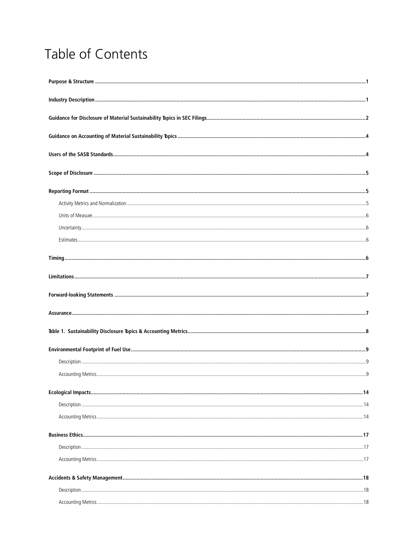## Table of Contents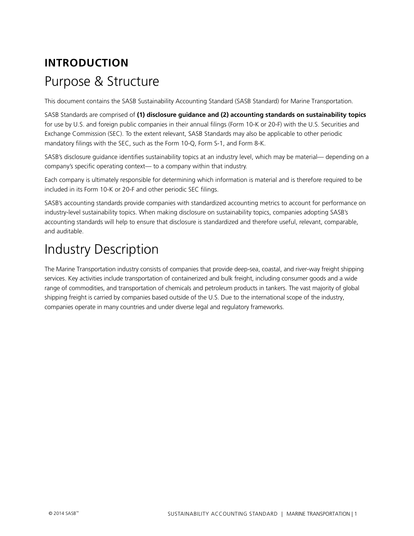## <span id="page-3-0"></span>**INTRODUCTION** Purpose & Structure

This document contains the SASB Sustainability Accounting Standard (SASB Standard) for Marine Transportation.

SASB Standards are comprised of **(1) disclosure guidance and (2) accounting standards on sustainability topics**  for use by U.S. and foreign public companies in their annual filings (Form 10-K or 20-F) with the U.S. Securities and Exchange Commission (SEC). To the extent relevant, SASB Standards may also be applicable to other periodic mandatory filings with the SEC, such as the Form 10-Q, Form S-1, and Form 8-K.

SASB's disclosure guidance identifies sustainability topics at an industry level, which may be material— depending on a company's specific operating context— to a company within that industry.

Each company is ultimately responsible for determining which information is material and is therefore required to be included in its Form 10-K or 20-F and other periodic SEC filings.

SASB's accounting standards provide companies with standardized accounting metrics to account for performance on industry-level sustainability topics. When making disclosure on sustainability topics, companies adopting SASB's accounting standards will help to ensure that disclosure is standardized and therefore useful, relevant, comparable, and auditable.

## <span id="page-3-1"></span>Industry Description

The Marine Transportation industry consists of companies that provide deep-sea, coastal, and river-way freight shipping services. Key activities include transportation of containerized and bulk freight, including consumer goods and a wide range of commodities, and transportation of chemicals and petroleum products in tankers. The vast majority of global shipping freight is carried by companies based outside of the U.S. Due to the international scope of the industry, companies operate in many countries and under diverse legal and regulatory frameworks.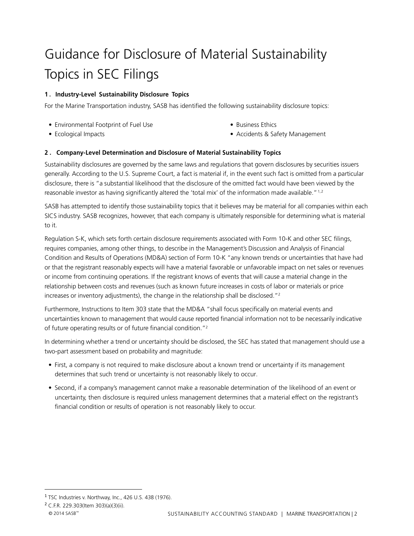# <span id="page-4-0"></span>Guidance for Disclosure of Material Sustainability Topics in SEC Filings

#### **1 . Industry-Level Sustainability Disclosure Topics**

For the Marine Transportation industry, SASB has identified the following sustainability disclosure topics:

**•** Environmental Footprint of Fuel Use

**•** Business Ethics

**•** Ecological Impacts

**•** Accidents & Safety Management

#### **2 . Company-Level Determination and Disclosure of Material Sustainability Topics**

Sustainability disclosures are governed by the same laws and regulations that govern disclosures by securities issuers generally. According to the U.S. Supreme Court, a fact is material if, in the event such fact is omitted from a particular disclosure, there is "a substantial likelihood that the disclosure of the omitted fact would have been viewed by the reasonable investor as having significantly altered the 'total mix' of the information made available."<sup>[1](#page-4-1),[2](#page-4-2)</sup>

SASB has attempted to identify those sustainability topics that it believes may be material for all companies within each SICS industry. SASB recognizes, however, that each company is ultimately responsible for determining what is material to it.

Regulation S-K, which sets forth certain disclosure requirements associated with Form 10-K and other SEC filings, requires companies, among other things, to describe in the Management's Discussion and Analysis of Financial Condition and Results of Operations (MD&A) section of Form 10-K "any known trends or uncertainties that have had or that the registrant reasonably expects will have a material favorable or unfavorable impact on net sales or revenues or income from continuing operations. If the registrant knows of events that will cause a material change in the relationship between costs and revenues (such as known future increases in costs of labor or materials or price increases or inventory adjustments), the change in the relationship shall be disclosed."2

Furthermore, Instructions to Item 303 state that the MD&A "shall focus specifically on material events and uncertainties known to management that would cause reported financial information not to be necessarily indicative of future operating results or of future financial condition."2

In determining whether a trend or uncertainty should be disclosed, the SEC has stated that management should use a two-part assessment based on probability and magnitude:

- First, a company is not required to make disclosure about a known trend or uncertainty if its management determines that such trend or uncertainty is not reasonably likely to occur.
- Second, if a company's management cannot make a reasonable determination of the likelihood of an event or uncertainty, then disclosure is required unless management determines that a material effect on the registrant's financial condition or results of operation is not reasonably likely to occur.

l

<span id="page-4-1"></span><sup>&</sup>lt;sup>1</sup> TSC Industries v. Northway, Inc., 426 U.S. 438 (1976).

<span id="page-4-2"></span><sup>2</sup> C.F.R. 229.303(Item 303)(a)(3)(ii).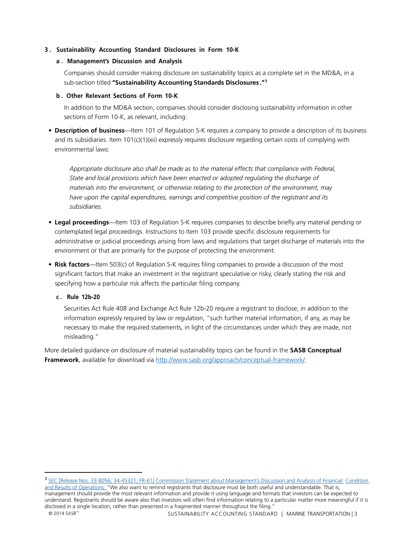#### **3 . Sustainability Accounting Standard Disclosures in Form 10-K**

#### **a . Management's Discussion and Analysis**

Companies should consider making disclosure on sustainability topics as a complete set in the MD&A, in a sub-section titled **"Sustainability Accounting Standards Disclosures ."[3](#page-5-0)**

#### **b . Other Relevant Sections of Form 10-K**

In addition to the MD&A section, companies should consider disclosing sustainability information in other sections of Form 10-K, as relevant, including:

• **Description of business**—Item 101 of Regulation S-K requires a company to provide a description of its business and its subsidiaries. Item 101(c)(1)(xii) expressly requires disclosure regarding certain costs of complying with environmental laws:

*Appropriate disclosure also shall be made as to the material effects that compliance with Federal, State and local provisions which have been enacted or adopted regulating the discharge of materials into the environment, or otherwise relating to the protection of the environment, may have upon the capital expenditures, earnings and competitive position of the registrant and its subsidiaries.*

- **Legal proceedings**—Item 103 of Regulation S-K requires companies to describe briefly any material pending or contemplated legal proceedings. Instructions to Item 103 provide specific disclosure requirements for administrative or judicial proceedings arising from laws and regulations that target discharge of materials into the environment or that are primarily for the purpose of protecting the environment.
- **Risk factors**—Item 503(c) of Regulation S-K requires filing companies to provide a discussion of the most significant factors that make an investment in the registrant speculative or risky, clearly stating the risk and specifying how a particular risk affects the particular filing company.

#### **c . Rule 12b-20**

Securities Act Rule 408 and Exchange Act Rule 12b-20 require a registrant to disclose, in addition to the information expressly required by law or regulation, "such further material information, if any, as may be necessary to make the required statements, in light of the circumstances under which they are made, not misleading."

More detailed guidance on disclosure of material sustainability topics can be found in the **SASB Conceptual Framework**, available for download via [http://www.sasb.org/approach/conceptual-framework/.](http://www.sasb.org/approach/conceptual-framework/)

 $\overline{\phantom{a}}$ 

<span id="page-5-0"></span><sup>&</sup>lt;sup>3</sup> [SEC \[Release Nos. 33-8056; 34-45321; FR-61\] Commission Statement about Management's Discussion and Analysis of Financial](http://www.sec.gov/rules/other/33-8056.htm) Condition [and Results of Operations: "](http://www.sec.gov/rules/other/33-8056.htm)We also want to remind registrants that disclosure must be both useful and understandable. That is, management should provide the most relevant information and provide it using language and formats that investors can be expected to understand. Registrants should be aware also that investors will often find information relating to a particular matter more meaningful if it is disclosed in a single location, rather than presented in a fragmented manner throughout the filing."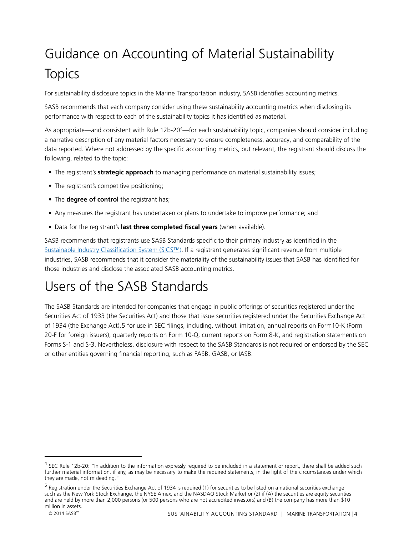# <span id="page-6-0"></span>Guidance on Accounting of Material Sustainability **Topics**

For sustainability disclosure topics in the Marine Transportation industry, SASB identifies accounting metrics.

SASB recommends that each company consider using these sustainability accounting metrics when disclosing its performance with respect to each of the sustainability topics it has identified as material.

As appropriate—and consistent with Rule 12b-20<sup>[4](#page-6-2)</sup>—for each sustainability topic, companies should consider including a narrative description of any material factors necessary to ensure completeness, accuracy, and comparability of the data reported. Where not addressed by the specific accounting metrics, but relevant, the registrant should discuss the following, related to the topic:

- The registrant's **strategic approach** to managing performance on material sustainability issues;
- The registrant's competitive positioning;
- The **degree of control** the registrant has;
- Any measures the registrant has undertaken or plans to undertake to improve performance; and
- Data for the registrant's **last three completed fiscal years** (when available).

SASB recommends that registrants use SASB Standards specific to their primary industry as identified in the Sustainable [Industry Classification System \(SICS™\).](http://www.sasb.org/approach/industryclassification/lookup-tool/) If a registrant generates significant revenue from multiple industries, SASB recommends that it consider the materiality of the sustainability issues that SASB has identified for those industries and disclose the associated SASB accounting metrics.

## <span id="page-6-1"></span>Users of the SASB Standards

The SASB Standards are intended for companies that engage in public offerings of securities registered under the Securities Act of 1933 (the Securities Act) and those that issue securities registered under the Securities Exchange Act of 1934 (the Exchange Act),[5](#page-6-3) for use in SEC filings, including, without limitation, annual reports on Form10-K (Form 20-F for foreign issuers), quarterly reports on Form 10-Q, current reports on Form 8-K, and registration statements on Forms S-1 and S-3. Nevertheless, disclosure with respect to the SASB Standards is not required or endorsed by the SEC or other entities governing financial reporting, such as FASB, GASB, or IASB.

 $\overline{a}$ 

<span id="page-6-2"></span><sup>&</sup>lt;sup>4</sup> SEC Rule 12b-20: "In addition to the information expressly required to be included in a statement or report, there shall be added such further material information, if any, as may be necessary to make the required statements, in the light of the circumstances under which they are made, not misleading."

<span id="page-6-3"></span><sup>5</sup> Registration under the Securities Exchange Act of 1934 is required (1) for securities to be listed on a national securities exchange such as the New York Stock Exchange, the NYSE Amex, and the NASDAQ Stock Market or (2) if (A) the securities are equity securities and are held by more than 2,000 persons (or 500 persons who are not accredited investors) and (B) the company has more than \$10 million in assets.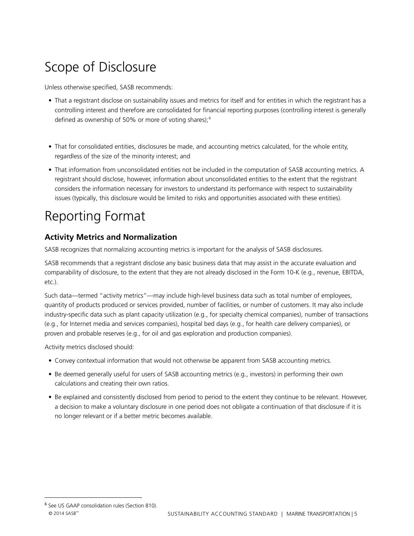## <span id="page-7-0"></span>Scope of Disclosure

Unless otherwise specified, SASB recommends:

- That a registrant disclose on sustainability issues and metrics for itself and for entities in which the registrant has a controlling interest and therefore are consolidated for financial reporting purposes (controlling interest is generally defined as ownership of 50% or more of voting shares);<sup>[6](#page-7-3)</sup>
- That for consolidated entities, disclosures be made, and accounting metrics calculated, for the whole entity, regardless of the size of the minority interest; and
- That information from unconsolidated entities not be included in the computation of SASB accounting metrics. A registrant should disclose, however, information about unconsolidated entities to the extent that the registrant considers the information necessary for investors to understand its performance with respect to sustainability issues (typically, this disclosure would be limited to risks and opportunities associated with these entities).

## <span id="page-7-1"></span>Reporting Format

### <span id="page-7-2"></span>**Activity Metrics and Normalization**

SASB recognizes that normalizing accounting metrics is important for the analysis of SASB disclosures.

SASB recommends that a registrant disclose any basic business data that may assist in the accurate evaluation and comparability of disclosure, to the extent that they are not already disclosed in the Form 10-K (e.g., revenue, EBITDA, etc.).

Such data—termed "activity metrics"—may include high-level business data such as total number of employees, quantity of products produced or services provided, number of facilities, or number of customers. It may also include industry-specific data such as plant capacity utilization (e.g., for specialty chemical companies), number of transactions (e.g., for Internet media and services companies), hospital bed days (e.g., for health care delivery companies), or proven and probable reserves (e.g., for oil and gas exploration and production companies).

Activity metrics disclosed should:

- Convey contextual information that would not otherwise be apparent from SASB accounting metrics.
- Be deemed generally useful for users of SASB accounting metrics (e.g., investors) in performing their own calculations and creating their own ratios.
- Be explained and consistently disclosed from period to period to the extent they continue to be relevant. However, a decision to make a voluntary disclosure in one period does not obligate a continuation of that disclosure if it is no longer relevant or if a better metric becomes available.

 $\overline{a}$ 

<span id="page-7-3"></span><sup>6</sup> See US GAAP consolidation rules (Section 810).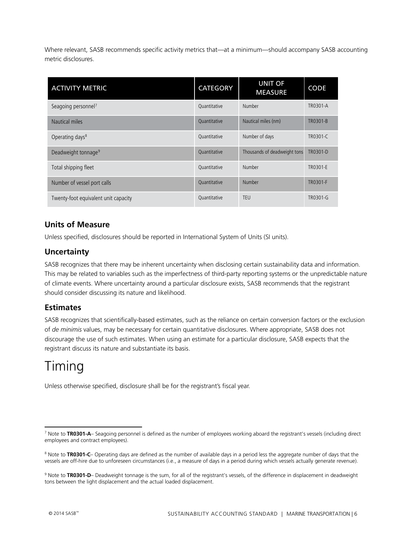Where relevant, SASB recommends specific activity metrics that—at a minimum—should accompany SASB accounting metric disclosures.

| <b>ACTIVITY METRIC</b>               | <b>CATEGORY</b>     | <b>UNIT OF</b><br><b>MEASURE</b> | <b>CODE</b> |
|--------------------------------------|---------------------|----------------------------------|-------------|
| Seagoing personnel <sup>7</sup>      | Quantitative        | Number                           | TR0301-A    |
| Nautical miles                       | Quantitative        | Nautical miles (nm)              | TR0301-B    |
| Operating days <sup>8</sup>          | Quantitative        | Number of days                   | TR0301-C    |
| Deadweight tonnage <sup>9</sup>      | <b>Ouantitative</b> | Thousands of deadweight tons     | TR0301-D    |
| Total shipping fleet                 | Quantitative        | Number                           | TR0301-E    |
| Number of vessel port calls          | Quantitative        | Number                           | TR0301-F    |
| Twenty-foot equivalent unit capacity | Quantitative        | <b>TEU</b>                       | TR0301-G    |

### <span id="page-8-0"></span>**Units of Measure**

Unless specified, disclosures should be reported in International System of Units (SI units).

### <span id="page-8-1"></span>**Uncertainty**

SASB recognizes that there may be inherent uncertainty when disclosing certain sustainability data and information. This may be related to variables such as the imperfectness of third-party reporting systems or the unpredictable nature of climate events. Where uncertainty around a particular disclosure exists, SASB recommends that the registrant should consider discussing its nature and likelihood.

#### <span id="page-8-2"></span>**Estimates**

SASB recognizes that scientifically-based estimates, such as the reliance on certain conversion factors or the exclusion of *de minimis* values, may be necessary for certain quantitative disclosures. Where appropriate, SASB does not discourage the use of such estimates. When using an estimate for a particular disclosure, SASB expects that the registrant discuss its nature and substantiate its basis.

## <span id="page-8-3"></span>Timing

Unless otherwise specified, disclosure shall be for the registrant's fiscal year.

<span id="page-8-4"></span><sup>7</sup> Note to **TR0301-A**– Seagoing personnel is defined as the number of employees working aboard the registrant's vessels (including direct employees and contract employees).  $\overline{a}$ 

<span id="page-8-5"></span><sup>&</sup>lt;sup>8</sup> Note to TR0301-C- Operating days are defined as the number of available days in a period less the aggregate number of days that the vessels are off-hire due to unforeseen circumstances (i.e., a measure of days in a period during which vessels actually generate revenue).

<span id="page-8-6"></span><sup>9</sup> Note to **TR0301-D**– Deadweight tonnage is the sum, for all of the registrant's vessels, of the difference in displacement in deadweight tons between the light displacement and the actual loaded displacement.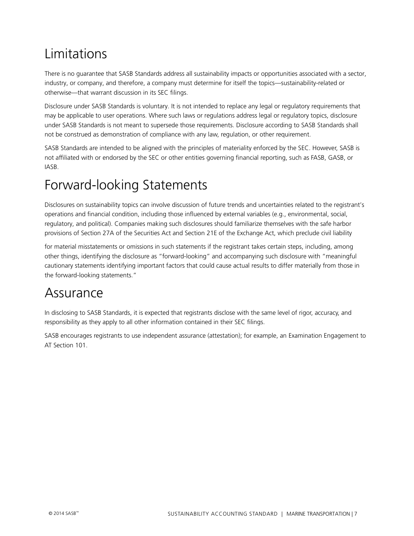## <span id="page-9-0"></span>Limitations

There is no guarantee that SASB Standards address all sustainability impacts or opportunities associated with a sector, industry, or company, and therefore, a company must determine for itself the topics—sustainability-related or otherwise—that warrant discussion in its SEC filings.

Disclosure under SASB Standards is voluntary. It is not intended to replace any legal or regulatory requirements that may be applicable to user operations. Where such laws or regulations address legal or regulatory topics, disclosure under SASB Standards is not meant to supersede those requirements. Disclosure according to SASB Standards shall not be construed as demonstration of compliance with any law, regulation, or other requirement.

SASB Standards are intended to be aligned with the principles of materiality enforced by the SEC. However, SASB is not affiliated with or endorsed by the SEC or other entities governing financial reporting, such as FASB, GASB, or IASB.

## <span id="page-9-1"></span>Forward-looking Statements

Disclosures on sustainability topics can involve discussion of future trends and uncertainties related to the registrant's operations and financial condition, including those influenced by external variables (e.g., environmental, social, regulatory, and political). Companies making such disclosures should familiarize themselves with the safe harbor provisions of Section 27A of the Securities Act and Section 21E of the Exchange Act, which preclude civil liability

for material misstatements or omissions in such statements if the registrant takes certain steps, including, among other things, identifying the disclosure as "forward-looking" and accompanying such disclosure with "meaningful cautionary statements identifying important factors that could cause actual results to differ materially from those in the forward-looking statements."

### <span id="page-9-2"></span>Assurance

In disclosing to SASB Standards, it is expected that registrants disclose with the same level of rigor, accuracy, and responsibility as they apply to all other information contained in their SEC filings.

SASB encourages registrants to use independent assurance (attestation); for example, an Examination Engagement to AT Section 101.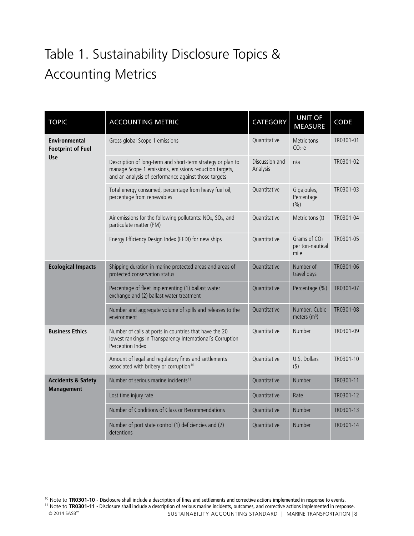# <span id="page-10-0"></span>Table 1. Sustainability Disclosure Topics & Accounting Metrics

| <b>TOPIC</b>                                                   | <b>ACCOUNTING METRIC</b>                                                                                                                                                      | <b>CATEGORY</b>            | <b>UNIT OF</b><br><b>MEASURE</b>           | <b>CODE</b> |
|----------------------------------------------------------------|-------------------------------------------------------------------------------------------------------------------------------------------------------------------------------|----------------------------|--------------------------------------------|-------------|
| <b>Environmental</b><br><b>Footprint of Fuel</b><br><b>Use</b> | Gross global Scope 1 emissions                                                                                                                                                | Quantitative               | Metric tons<br>$CO2-e$                     | TR0301-01   |
|                                                                | Description of long-term and short-term strategy or plan to<br>manage Scope 1 emissions, emissions reduction targets,<br>and an analysis of performance against those targets | Discussion and<br>Analysis | n/a                                        | TR0301-02   |
|                                                                | Total energy consumed, percentage from heavy fuel oil,<br>percentage from renewables                                                                                          | Ouantitative               | Gigajoules,<br>Percentage<br>(%)           | TR0301-03   |
|                                                                | Air emissions for the following pollutants: $NOx$ , $SOx$ , and<br>particulate matter (PM)                                                                                    | Quantitative               | Metric tons (t)                            | TR0301-04   |
|                                                                | Energy Efficiency Design Index (EEDI) for new ships                                                                                                                           | Quantitative               | Grams of $CO2$<br>per ton-nautical<br>mile | TR0301-05   |
| <b>Ecological Impacts</b>                                      | Shipping duration in marine protected areas and areas of<br>protected conservation status                                                                                     | Quantitative               | Number of<br>travel days                   | TR0301-06   |
|                                                                | Percentage of fleet implementing (1) ballast water<br>exchange and (2) ballast water treatment                                                                                | Quantitative               | Percentage (%)                             | TR0301-07   |
|                                                                | Number and aggregate volume of spills and releases to the<br>environment                                                                                                      | Quantitative               | Number, Cubic<br>meters $(m3)$             | TR0301-08   |
| <b>Business Ethics</b>                                         | Number of calls at ports in countries that have the 20<br>lowest rankings in Transparency International's Corruption<br>Perception Index                                      | Quantitative               | Number                                     | TR0301-09   |
|                                                                | Amount of legal and regulatory fines and settlements<br>associated with bribery or corruption <sup>10</sup>                                                                   | Quantitative               | U.S. Dollars<br>$($ \$)                    | TR0301-10   |
| <b>Accidents &amp; Safety</b><br><b>Management</b>             | Number of serious marine incidents <sup>11</sup>                                                                                                                              | Quantitative               | Number                                     | TR0301-11   |
|                                                                | Lost time injury rate                                                                                                                                                         | Quantitative               | Rate                                       | TR0301-12   |
|                                                                | Number of Conditions of Class or Recommendations                                                                                                                              | Quantitative               | Number                                     | TR0301-13   |
|                                                                | Number of port state control (1) deficiencies and (2)<br>detentions                                                                                                           | Quantitative               | Number                                     | TR0301-14   |

<sup>&</sup>lt;sup>10</sup> Note to TR0301-10 - Disclosure shall include a description of fines and settlements and corrective actions implemented in response to events.  $\overline{a}$ 

<span id="page-10-2"></span><span id="page-10-1"></span><sup>&</sup>lt;sup>11</sup> Note to **TR0301-11** - Disclosure shall include a description of serious marine incidents, outcomes, and corrective actions implemented in response.<br>1) SUSTAINABILITY ACCOUNTING STANDARD | MARINE TRANSPORTATION | 8

SUSTAINABILITY ACCOUNTING STANDARD | MARINE TRANSPORTATION | 8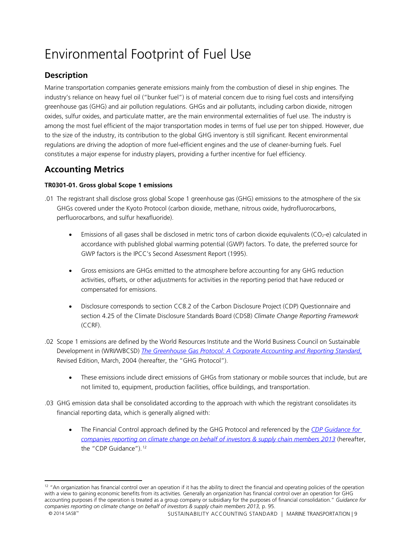## <span id="page-11-0"></span>Environmental Footprint of Fuel Use

### <span id="page-11-1"></span>**Description**

Marine transportation companies generate emissions mainly from the combustion of diesel in ship engines. The industry's reliance on heavy fuel oil ("bunker fuel") is of material concern due to rising fuel costs and intensifying greenhouse gas (GHG) and air pollution regulations. GHGs and air pollutants, including carbon dioxide, nitrogen oxides, sulfur oxides, and particulate matter, are the main environmental externalities of fuel use. The industry is among the most fuel efficient of the major transportation modes in terms of fuel use per ton shipped. However, due to the size of the industry, its contribution to the global GHG inventory is still significant. Recent environmental regulations are driving the adoption of more fuel-efficient engines and the use of cleaner-burning fuels. Fuel constitutes a major expense for industry players, providing a further incentive for fuel efficiency.

### <span id="page-11-2"></span>**Accounting Metrics**

#### **TR0301-01. Gross global Scope 1 emissions**

- .01 The registrant shall disclose gross global Scope 1 greenhouse gas (GHG) emissions to the atmosphere of the six GHGs covered under the Kyoto Protocol (carbon dioxide, methane, nitrous oxide, hydrofluorocarbons, perfluorocarbons, and sulfur hexafluoride).
	- $\bullet$  Emissions of all gases shall be disclosed in metric tons of carbon dioxide equivalents (CO<sub>2</sub>-e) calculated in accordance with published global warming potential (GWP) factors. To date, the preferred source for GWP factors is the IPCC's Second Assessment Report (1995).
	- Gross emissions are GHGs emitted to the atmosphere before accounting for any GHG reduction activities, offsets, or other adjustments for activities in the reporting period that have reduced or compensated for emissions.
	- Disclosure corresponds to section CC8.2 of the Carbon Disclosure Project (CDP) Questionnaire and section 4.25 of the Climate Disclosure Standards Board (CDSB) *Climate Change Reporting Framework* (CCRF).
- .02 Scope 1 emissions are defined by the World Resources Institute and the World Business Council on Sustainable Development in (WRI/WBCSD) *[The Greenhouse Gas Protocol: A Corporate Accounting and Reporting](http://www.wri.org/publication/greenhouse-gas-protocol-corporate-accounting-and-reporting-standard-revised-edition) Standard*, Revised Edition, March, 2004 (hereafter, the "GHG Protocol").
	- These emissions include direct emissions of GHGs from stationary or mobile sources that include, but are not limited to, equipment, production facilities, office buildings, and transportation.
- .03 GHG emission data shall be consolidated according to the approach with which the registrant consolidates its financial reporting data, which is generally aligned with:
	- The Financial Control approach defined by the GHG Protocol and referenced by the *[CDP Guidance for](https://www.cdp.net/Documents/Guidance/CDP2013ReportingGuidance.pdf)  [companies reporting on climate change on behalf of investors & supply chain members 2013](https://www.cdp.net/Documents/Guidance/CDP2013ReportingGuidance.pdf)* (hereafter, the "CDP Guidance").<sup>[12](#page-11-3)</sup>

 $\overline{a}$ 

<span id="page-11-3"></span> $12$  "An organization has financial control over an operation if it has the ability to direct the financial and operating policies of the operation with a view to gaining economic benefits from its activities. Generally an organization has financial control over an operation for GHG accounting purposes if the operation is treated as a group company or subsidiary for the purposes of financial consolidation." *Guidance for companies reporting on climate change on behalf of investors & supply chain members 2013,* p. 95.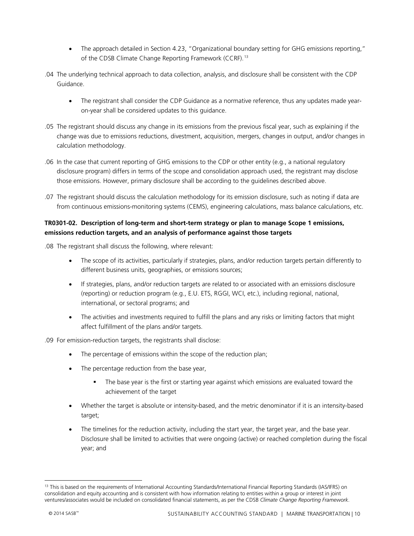- The approach detailed in Section 4.23, "Organizational boundary setting for GHG emissions reporting," of the CDSB Climate Change Reporting Framework (CCRF).<sup>[13](#page-12-0)</sup>
- .04 The underlying technical approach to data collection, analysis, and disclosure shall be consistent with the CDP Guidance.
	- The registrant shall consider the CDP Guidance as a normative reference, thus any updates made yearon-year shall be considered updates to this guidance.
- .05 The registrant should discuss any change in its emissions from the previous fiscal year, such as explaining if the change was due to emissions reductions, divestment, acquisition, mergers, changes in output, and/or changes in calculation methodology.
- .06 In the case that current reporting of GHG emissions to the CDP or other entity (e.g., a national regulatory disclosure program) differs in terms of the scope and consolidation approach used, the registrant may disclose those emissions. However, primary disclosure shall be according to the guidelines described above.
- .07 The registrant should discuss the calculation methodology for its emission disclosure, such as noting if data are from continuous emissions-monitoring systems (CEMS), engineering calculations, mass balance calculations, etc.

#### **TR0301-02. Description of long-term and short-term strategy or plan to manage Scope 1 emissions, emissions reduction targets, and an analysis of performance against those targets**

.08 The registrant shall discuss the following, where relevant:

- The scope of its activities, particularly if strategies, plans, and/or reduction targets pertain differently to different business units, geographies, or emissions sources;
- If strategies, plans, and/or reduction targets are related to or associated with an emissions disclosure (reporting) or reduction program (e.g., E.U. ETS, RGGI, WCI, etc.), including regional, national, international, or sectoral programs; and
- The activities and investments required to fulfill the plans and any risks or limiting factors that might affect fulfillment of the plans and/or targets.

.09 For emission-reduction targets, the registrants shall disclose:

- The percentage of emissions within the scope of the reduction plan;
- The percentage reduction from the base year,
	- The base year is the first or starting year against which emissions are evaluated toward the achievement of the target
- Whether the target is absolute or intensity-based, and the metric denominator if it is an intensity-based target;
- The timelines for the reduction activity, including the start year, the target year, and the base year. Disclosure shall be limited to activities that were ongoing (active) or reached completion during the fiscal year; and

<span id="page-12-0"></span><sup>&</sup>lt;sup>13</sup> This is based on the requirements of International Accounting Standards/International Financial Reporting Standards (IAS/IFRS) on consolidation and equity accounting and is consistent with how information relating to entities within a group or interest in joint ventures/associates would be included on consolidated financial statements, as per the CDSB *Climate Change Reporting Framework*.  $\overline{\phantom{a}}$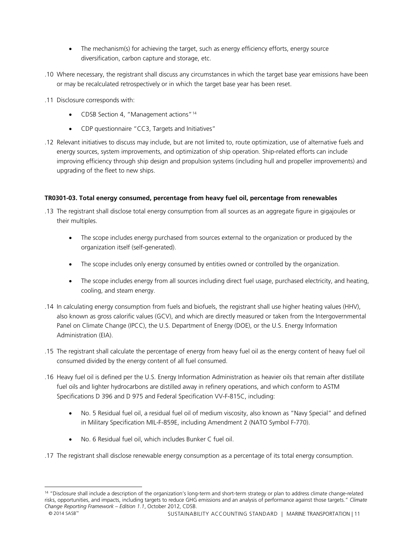- The mechanism(s) for achieving the target, such as energy efficiency efforts, energy source diversification, carbon capture and storage, etc.
- .10 Where necessary, the registrant shall discuss any circumstances in which the target base year emissions have been or may be recalculated retrospectively or in which the target base year has been reset.
- .11 Disclosure corresponds with:
	- CDSB Section 4, "Management actions"<sup>[14](#page-13-0)</sup>
	- CDP questionnaire "CC3, Targets and Initiatives"
- .12 Relevant initiatives to discuss may include, but are not limited to, route optimization, use of alternative fuels and energy sources, system improvements, and optimization of ship operation. Ship-related efforts can include improving efficiency through ship design and propulsion systems (including hull and propeller improvements) and upgrading of the fleet to new ships.

#### **TR0301-03. Total energy consumed, percentage from heavy fuel oil, percentage from renewables**

- .13 The registrant shall disclose total energy consumption from all sources as an aggregate figure in gigajoules or their multiples.
	- The scope includes energy purchased from sources external to the organization or produced by the organization itself (self-generated).
	- The scope includes only energy consumed by entities owned or controlled by the organization.
	- The scope includes energy from all sources including direct fuel usage, purchased electricity, and heating, cooling, and steam energy.
- .14 In calculating energy consumption from fuels and biofuels, the registrant shall use higher heating values (HHV), also known as gross calorific values (GCV), and which are directly measured or taken from the Intergovernmental Panel on Climate Change (IPCC), the U.S. Department of Energy (DOE), or the U.S. Energy Information Administration (EIA).
- .15 The registrant shall calculate the percentage of energy from heavy fuel oil as the energy content of heavy fuel oil consumed divided by the energy content of all fuel consumed.
- .16 Heavy fuel oil is defined per the U.S. Energy Information Administration as heavier oils that remain after distillate fuel oils and lighter hydrocarbons are distilled away in refinery operations, and which conform to ASTM Specifications D 396 and D 975 and Federal Specification VV-F-815C, including:
	- No. 5 Residual fuel oil, a residual fuel oil of medium viscosity, also known as "Navy Special" and defined in Military Specification MIL-F-859E, including Amendment 2 (NATO Symbol F-770).
	- No. 6 Residual fuel oil, which includes Bunker C fuel oil.
- .17 The registrant shall disclose renewable energy consumption as a percentage of its total energy consumption.

 $\overline{a}$ 

<span id="page-13-0"></span><sup>&</sup>lt;sup>14</sup> "Disclosure shall include a description of the organization's long-term and short-term strategy or plan to address climate change-related risks, opportunities, and impacts, including targets to reduce GHG emissions and an analysis of performance against those targets." *Climate Change Reporting Framework – Edition 1.1*, October 2012, CDSB.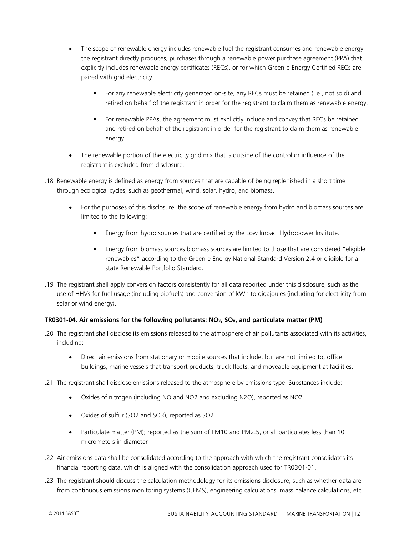- The scope of renewable energy includes renewable fuel the registrant consumes and renewable energy the registrant directly produces, purchases through a renewable power purchase agreement (PPA) that explicitly includes renewable energy certificates (RECs), or for which Green-e Energy Certified RECs are paired with grid electricity.
	- For any renewable electricity generated on-site, any RECs must be retained (i.e., not sold) and retired on behalf of the registrant in order for the registrant to claim them as renewable energy.
	- For renewable PPAs, the agreement must explicitly include and convey that RECs be retained and retired on behalf of the registrant in order for the registrant to claim them as renewable energy.
- The renewable portion of the electricity grid mix that is outside of the control or influence of the registrant is excluded from disclosure.
- .18 Renewable energy is defined as energy from sources that are capable of being replenished in a short time through ecological cycles, such as geothermal, wind, solar, hydro, and biomass.
	- For the purposes of this disclosure, the scope of renewable energy from hydro and biomass sources are limited to the following:
		- Energy from hydro sources that are certified by the Low Impact Hydropower Institute.
		- Energy from biomass sources biomass sources are limited to those that are considered "eligible renewables" according to the Green-e Energy National Standard Version 2.4 or eligible for a state Renewable Portfolio Standard.
- .19 The registrant shall apply conversion factors consistently for all data reported under this disclosure, such as the use of HHVs for fuel usage (including biofuels) and conversion of kWh to gigajoules (including for electricity from solar or wind energy).

#### TR0301-04. Air emissions for the following pollutants: NO<sub>x</sub>, SO<sub>x</sub>, and particulate matter (PM)

- .20 The registrant shall disclose its emissions released to the atmosphere of air pollutants associated with its activities, including:
	- Direct air emissions from stationary or mobile sources that include, but are not limited to, office buildings, marine vessels that transport products, truck fleets, and moveable equipment at facilities.
- .21 The registrant shall disclose emissions released to the atmosphere by emissions type. Substances include:
	- Oxides of nitrogen (including NO and NO2 and excluding N2O), reported as NO2
	- Oxides of sulfur (SO2 and SO3), reported as SO2
	- Particulate matter (PM); reported as the sum of PM10 and PM2.5, or all particulates less than 10 micrometers in diameter
- .22 Air emissions data shall be consolidated according to the approach with which the registrant consolidates its financial reporting data, which is aligned with the consolidation approach used for TR0301-01.
- .23 The registrant should discuss the calculation methodology for its emissions disclosure, such as whether data are from continuous emissions monitoring systems (CEMS), engineering calculations, mass balance calculations, etc.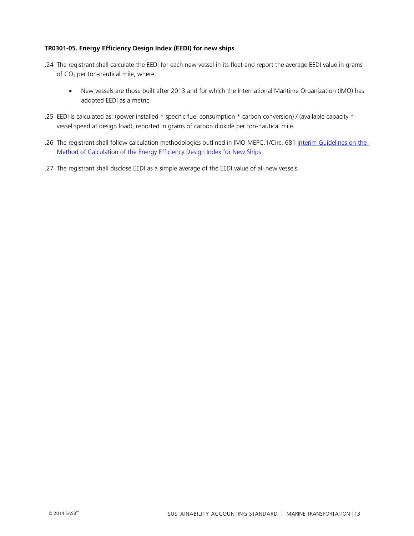#### **TR0301-05. Energy Efficiency Design Index (EEDI) for new ships**

- .24 The registrant shall calculate the EEDI for each new vessel in its fleet and report the average EEDI value in grams of CO2 per ton-nautical mile, where:
	- New vessels are those built after 2013 and for which the International Maritime Organization (IMO) has adopted EEDI as a metric.
- .25 EEDI is calculated as: (power installed \* specific fuel consumption \* carbon conversion) / (available capacity \* vessel speed at design load), reported in grams of carbon dioxide per ton-nautical mile.
- .26 The registrant shall follow calculation methodologies outlined in IMO MEPC.1/Circ. 681 [Interim Guidelines on the](http://www.imo.org/blast/blastDataHelper.asp?data_id=26528&filename=681.pdf)  [Method of Calculation of the Energy Efficiency Design Index for New Ships.](http://www.imo.org/blast/blastDataHelper.asp?data_id=26528&filename=681.pdf)
- .27 The registrant shall disclose EEDI as a simple average of the EEDI value of all new vessels.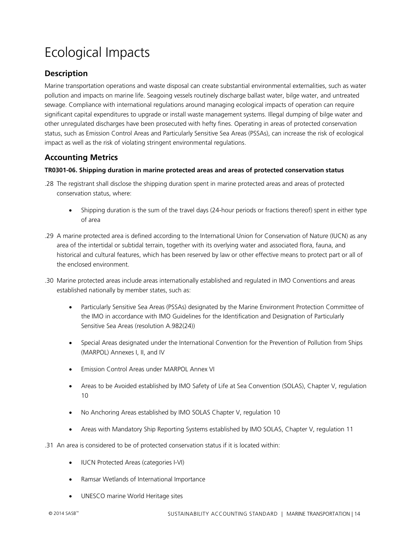# <span id="page-16-0"></span>Ecological Impacts

### <span id="page-16-1"></span>**Description**

Marine transportation operations and waste disposal can create substantial environmental externalities, such as water pollution and impacts on marine life. Seagoing vessels routinely discharge ballast water, bilge water, and untreated sewage. Compliance with international regulations around managing ecological impacts of operation can require significant capital expenditures to upgrade or install waste management systems. Illegal dumping of bilge water and other unregulated discharges have been prosecuted with hefty fines. Operating in areas of protected conservation status, such as Emission Control Areas and Particularly Sensitive Sea Areas (PSSAs), can increase the risk of ecological impact as well as the risk of violating stringent environmental regulations.

### <span id="page-16-2"></span>**Accounting Metrics**

#### **TR0301-06. Shipping duration in marine protected areas and areas of protected conservation status**

- .28 The registrant shall disclose the shipping duration spent in marine protected areas and areas of protected conservation status, where:
	- Shipping duration is the sum of the travel days (24-hour periods or fractions thereof) spent in either type of area
- .29 A marine protected area is defined according to the International Union for Conservation of Nature (IUCN) as any area of the intertidal or subtidal terrain, together with its overlying water and associated flora, fauna, and historical and cultural features, which has been reserved by law or other effective means to protect part or all of the enclosed environment.
- .30 Marine protected areas include areas internationally established and regulated in IMO Conventions and areas established nationally by member states, such as:
	- Particularly Sensitive Sea Areas (PSSAs) designated by the Marine Environment Protection Committee of the IMO in accordance with IMO Guidelines for the Identification and Designation of Particularly Sensitive Sea Areas (resolution A.982(24))
	- Special Areas designated under the International Convention for the Prevention of Pollution from Ships (MARPOL) Annexes I, II, and IV
	- Emission Control Areas under MARPOL Annex VI
	- Areas to be Avoided established by IMO Safety of Life at Sea Convention (SOLAS), Chapter V, regulation 10
	- No Anchoring Areas established by IMO SOLAS Chapter V, regulation 10
	- Areas with Mandatory Ship Reporting Systems established by IMO SOLAS, Chapter V, regulation 11
- .31 An area is considered to be of protected conservation status if it is located within:
	- IUCN Protected Areas (categories I-VI)
	- Ramsar Wetlands of International Importance
	- UNESCO marine World Heritage sites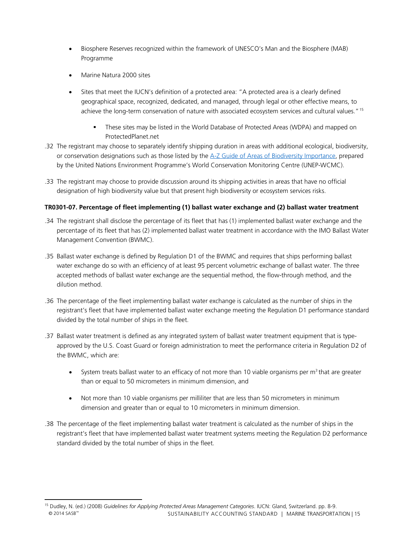- Biosphere Reserves recognized within the framework of UNESCO's Man and the Biosphere (MAB) Programme
- Marine Natura 2000 sites
- Sites that meet the IUCN's definition of a protected area: "A protected area is a clearly defined geographical space, recognized, dedicated, and managed, through legal or other effective means, to achieve the long-term conservation of nature with associated ecosystem services and cultural values."[15](#page-17-0) 
	- These sites may be listed in the World Database of Protected Areas (WDPA) and mapped on ProtectedPlanet.net
- .32 The registrant may choose to separately identify shipping duration in areas with additional ecological, biodiversity, or conservation designations such as those listed by the [A-Z Guide of Areas of Biodiversity Importance,](http://www.biodiversitya-z.org/) prepared by the United Nations Environment Programme's World Conservation Monitoring Centre (UNEP-WCMC).
- .33 The registrant may choose to provide discussion around its shipping activities in areas that have no official designation of high biodiversity value but that present high biodiversity or ecosystem services risks.

#### **TR0301-07. Percentage of fleet implementing (1) ballast water exchange and (2) ballast water treatment**

- .34 The registrant shall disclose the percentage of its fleet that has (1) implemented ballast water exchange and the percentage of its fleet that has (2) implemented ballast water treatment in accordance with the IMO Ballast Water Management Convention (BWMC).
- .35 Ballast water exchange is defined by Regulation D1 of the BWMC and requires that ships performing ballast water exchange do so with an efficiency of at least 95 percent volumetric exchange of ballast water. The three accepted methods of ballast water exchange are the sequential method, the flow-through method, and the dilution method.
- .36 The percentage of the fleet implementing ballast water exchange is calculated as the number of ships in the registrant's fleet that have implemented ballast water exchange meeting the Regulation D1 performance standard divided by the total number of ships in the fleet.
- .37 Ballast water treatment is defined as any integrated system of ballast water treatment equipment that is typeapproved by the U.S. Coast Guard or foreign administration to meet the performance criteria in Regulation D2 of the BWMC, which are:
	- System treats ballast water to an efficacy of not more than 10 viable organisms per  $m<sup>3</sup>$  that are greater than or equal to 50 micrometers in minimum dimension, and
	- Not more than 10 viable organisms per milliliter that are less than 50 micrometers in minimum dimension and greater than or equal to 10 micrometers in minimum dimension.
- .38 The percentage of the fleet implementing ballast water treatment is calculated as the number of ships in the registrant's fleet that have implemented ballast water treatment systems meeting the Regulation D2 performance standard divided by the total number of ships in the fleet.

<span id="page-17-0"></span><sup>15</sup> Dudley, N. (ed.) (2008) *Guidelines for Applying Protected Areas Management Categories*. IUCN: Gland, Switzerland. pp. 8-9. © 2014 SASB™ SUSTAINABILITY ACCOUNTING STANDARD | MARINE TRANSPORTATION | 15  $\overline{\phantom{a}}$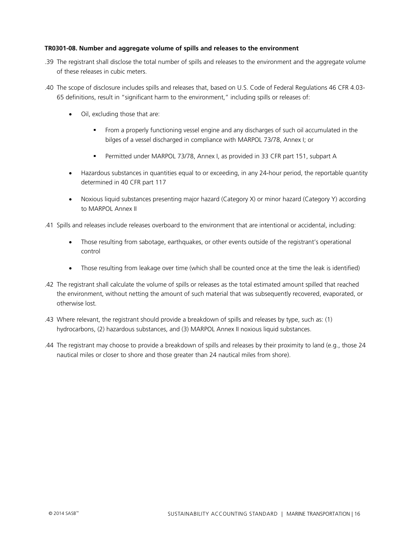#### **TR0301-08. Number and aggregate volume of spills and releases to the environment**

- .39 The registrant shall disclose the total number of spills and releases to the environment and the aggregate volume of these releases in cubic meters.
- .40 The scope of disclosure includes spills and releases that, based on U.S. Code of Federal Regulations 46 CFR 4.03- 65 definitions, result in "significant harm to the environment," including spills or releases of:
	- Oil, excluding those that are:
		- From a properly functioning vessel engine and any discharges of such oil accumulated in the bilges of a vessel discharged in compliance with MARPOL 73/78, Annex I; or
		- Permitted under MARPOL 73/78, Annex I, as provided in 33 CFR part 151, subpart A
	- Hazardous substances in quantities equal to or exceeding, in any 24-hour period, the reportable quantity determined in 40 CFR part 117
	- Noxious liquid substances presenting major hazard (Category X) or minor hazard (Category Y) according to MARPOL Annex II
- .41 Spills and releases include releases overboard to the environment that are intentional or accidental, including:
	- Those resulting from sabotage, earthquakes, or other events outside of the registrant's operational control
	- Those resulting from leakage over time (which shall be counted once at the time the leak is identified)
- .42 The registrant shall calculate the volume of spills or releases as the total estimated amount spilled that reached the environment, without netting the amount of such material that was subsequently recovered, evaporated, or otherwise lost.
- .43 Where relevant, the registrant should provide a breakdown of spills and releases by type, such as: (1) hydrocarbons, (2) hazardous substances, and (3) MARPOL Annex II noxious liquid substances.
- .44 The registrant may choose to provide a breakdown of spills and releases by their proximity to land (e.g., those 24 nautical miles or closer to shore and those greater than 24 nautical miles from shore).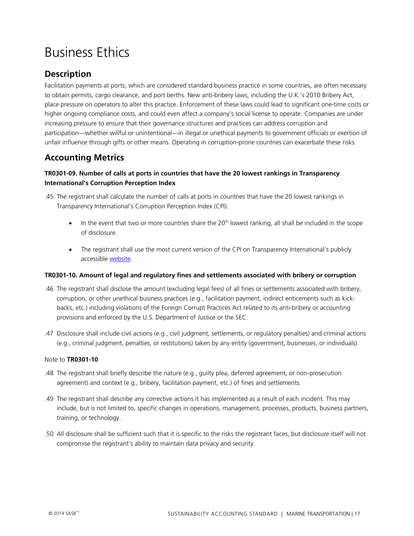## <span id="page-19-0"></span>Business Ethics

### <span id="page-19-1"></span>**Description**

Facilitation payments at ports, which are considered standard business practice in some countries, are often necessary to obtain permits, cargo clearance, and port berths. New anti-bribery laws, including the U.K.'s 2010 Bribery Act, place pressure on operators to alter this practice. Enforcement of these laws could lead to significant one-time costs or higher ongoing compliance costs, and could even affect a company's social license to operate. Companies are under increasing pressure to ensure that their governance structures and practices can address corruption and participation—whether willful or unintentional—in illegal or unethical payments to government officials or exertion of unfair influence through gifts or other means. Operating in corruption-prone countries can exacerbate these risks.

### <span id="page-19-2"></span>**Accounting Metrics**

#### **TR0301-09. Number of calls at ports in countries that have the 20 lowest rankings in Transparency International's Corruption Perception Index**

- .45 The registrant shall calculate the number of calls at ports in countries that have the 20 lowest rankings in Transparency International's Corruption Perception Index (CPI).
	- $\bullet$  In the event that two or more countries share the 20<sup>th</sup> lowest ranking, all shall be included in the scope of disclosure.
	- The registrant shall use the most current version of the CPI on Transparency International's publicly accessible [website.](http://www.transparency.org/research/cpi/overview)

#### **TR0301-10. Amount of legal and regulatory fines and settlements associated with bribery or corruption**

- .46 The registrant shall disclose the amount (excluding legal fees) of all fines or settlements associated with bribery, corruption, or other unethical business practices (e.g., facilitation payment, indirect enticements such as kickbacks, etc.) including violations of the Foreign Corrupt Practices Act related to its anti-bribery or accounting provisions and enforced by the U.S. Department of Justice or the SEC.
- .47 Disclosure shall include civil actions (e.g., civil judgment, settlements, or regulatory penalties) and criminal actions (e.g., criminal judgment, penalties, or restitutions) taken by any entity (government, businesses, or individuals).

#### Note to **TR0301-10**

- .48 The registrant shall briefly describe the nature (e.g., guilty plea, deferred agreement, or non-prosecution agreement) and context (e.g., bribery, facilitation payment, etc.) of fines and settlements.
- .49 The registrant shall describe any corrective actions it has implemented as a result of each incident. This may include, but is not limited to, specific changes in operations, management, processes, products, business partners, training, or technology.
- .50 All disclosure shall be sufficient such that it is specific to the risks the registrant faces, but disclosure itself will not compromise the registrant's ability to maintain data privacy and security.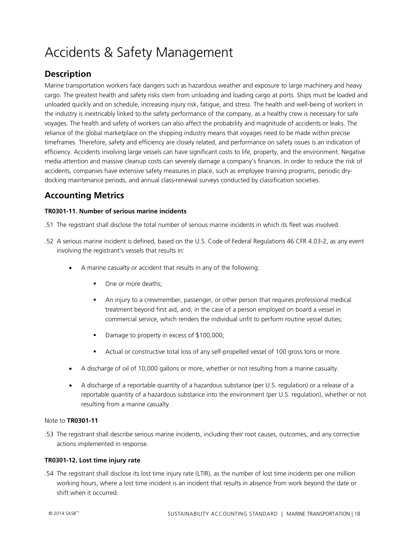## <span id="page-20-0"></span>Accidents & Safety Management

### <span id="page-20-1"></span>**Description**

Marine transportation workers face dangers such as hazardous weather and exposure to large machinery and heavy cargo. The greatest health and safety risks stem from unloading and loading cargo at ports. Ships must be loaded and unloaded quickly and on schedule, increasing injury risk, fatigue, and stress. The health and well-being of workers in the industry is inextricably linked to the safety performance of the company, as a healthy crew is necessary for safe voyages. The health and safety of workers can also affect the probability and magnitude of accidents or leaks. The reliance of the global marketplace on the shipping industry means that voyages need to be made within precise timeframes. Therefore, safety and efficiency are closely related, and performance on safety issues is an indication of efficiency. Accidents involving large vessels can have significant costs to life, property, and the environment. Negative media attention and massive cleanup costs can severely damage a company's finances. In order to reduce the risk of accidents, companies have extensive safety measures in place, such as employee training programs, periodic drydocking maintenance periods, and annual class-renewal surveys conducted by classification societies.

### <span id="page-20-2"></span>**Accounting Metrics**

#### **TR0301-11. Number of serious marine incidents**

- .51 The registrant shall disclose the total number of serious marine incidents in which its fleet was involved.
- .52 A serious marine incident is defined, based on the U.S. Code of Federal Regulations 46 CFR 4.03-2, as any event involving the registrant's vessels that results in:
	- A marine casualty or accident that results in any of the following:
		- One or more deaths;
		- An injury to a crewmember, passenger, or other person that requires professional medical treatment beyond first aid, and, in the case of a person employed on board a vessel in commercial service, which renders the individual unfit to perform routine vessel duties;
		- Damage to property in excess of \$100,000;
		- Actual or constructive total loss of any self-propelled vessel of 100 gross tons or more.
	- A discharge of oil of 10,000 gallons or more, whether or not resulting from a marine casualty.
	- A discharge of a reportable quantity of a hazardous substance (per U.S. regulation) or a release of a reportable quantity of a hazardous substance into the environment (per U.S. regulation), whether or not resulting from a marine casualty.

#### Note to **TR0301-11**

.53 The registrant shall describe serious marine incidents, including their root causes, outcomes, and any corrective actions implemented in response.

#### **TR0301-12. Lost time injury rate**

.54 The registrant shall disclose its lost time injury rate (LTIR), as the number of lost time incidents per one million working hours, where a lost time incident is an incident that results in absence from work beyond the date or shift when it occurred.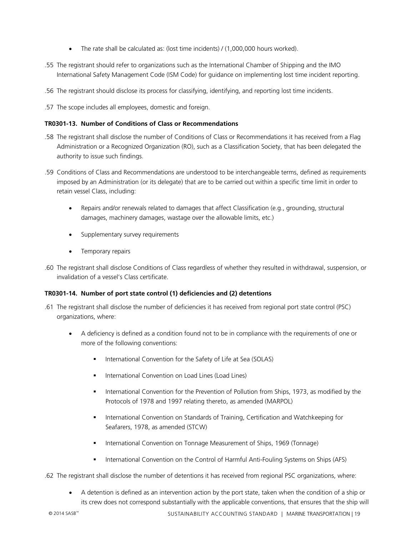- The rate shall be calculated as: (lost time incidents) / (1,000,000 hours worked).
- .55 The registrant should refer to organizations such as the International Chamber of Shipping and the IMO International Safety Management Code (ISM Code) for guidance on implementing lost time incident reporting.
- .56 The registrant should disclose its process for classifying, identifying, and reporting lost time incidents.
- .57 The scope includes all employees, domestic and foreign.

#### **TR0301-13. Number of Conditions of Class or Recommendations**

- .58 The registrant shall disclose the number of Conditions of Class or Recommendations it has received from a Flag Administration or a Recognized Organization (RO), such as a Classification Society, that has been delegated the authority to issue such findings.
- .59 Conditions of Class and Recommendations are understood to be interchangeable terms, defined as requirements imposed by an Administration (or its delegate) that are to be carried out within a specific time limit in order to retain vessel Class, including:
	- Repairs and/or renewals related to damages that affect Classification (e.g., grounding, structural damages, machinery damages, wastage over the allowable limits, etc.)
	- Supplementary survey requirements
	- Temporary repairs
- .60 The registrant shall disclose Conditions of Class regardless of whether they resulted in withdrawal, suspension, or invalidation of a vessel's Class certificate.

#### **TR0301-14. Number of port state control (1) deficiencies and (2) detentions**

- .61 The registrant shall disclose the number of deficiencies it has received from regional port state control (PSC) organizations, where:
	- A deficiency is defined as a condition found not to be in compliance with the requirements of one or more of the following conventions:
		- International Convention for the Safety of Life at Sea (SOLAS)
		- International Convention on Load Lines (Load Lines)
		- International Convention for the Prevention of Pollution from Ships, 1973, as modified by the Protocols of 1978 and 1997 relating thereto, as amended (MARPOL)
		- **International Convention on Standards of Training, Certification and Watchkeeping for** Seafarers, 1978, as amended (STCW)
		- International Convention on Tonnage Measurement of Ships, 1969 (Tonnage)
		- **International Convention on the Control of Harmful Anti-Fouling Systems on Ships (AFS)**
- .62 The registrant shall disclose the number of detentions it has received from regional PSC organizations, where:
	- A detention is defined as an intervention action by the port state, taken when the condition of a ship or its crew does not correspond substantially with the applicable conventions, that ensures that the ship will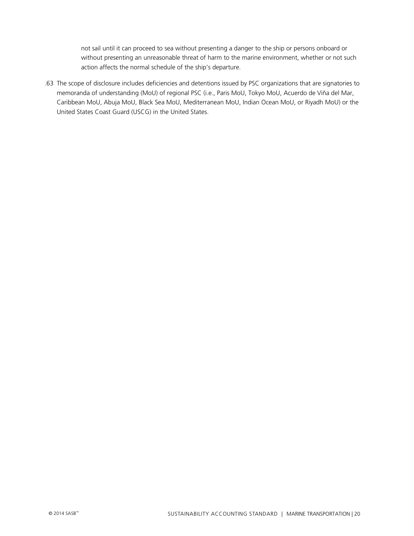not sail until it can proceed to sea without presenting a danger to the ship or persons onboard or without presenting an unreasonable threat of harm to the marine environment, whether or not such action affects the normal schedule of the ship's departure.

.63 The scope of disclosure includes deficiencies and detentions issued by PSC organizations that are signatories to memoranda of understanding (MoU) of regional PSC (i.e., Paris MoU, Tokyo MoU, Acuerdo de Viña del Mar, Caribbean MoU, Abuja MoU, Black Sea MoU, Mediterranean MoU, Indian Ocean MoU, or Riyadh MoU) or the United States Coast Guard (USCG) in the United States.